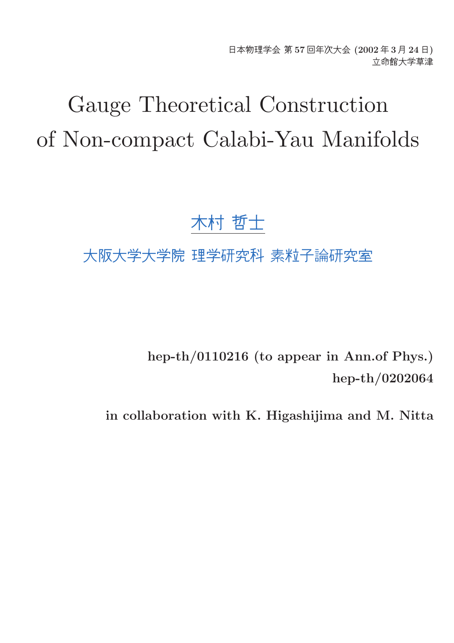日本物理学会 第 57 回年次大会 (2002 年 3 月 24 日) 立命館大学草津

# Gauge Theoretical Construction of Non-compact Calabi-Yau Manifolds

# 木村 哲士

# 大阪大学大学院 理学研究科 素粒子論研究室

hep-th/0110216 (to appear in Ann.of Phys.) hep-th/0202064

in collaboration with K. Higashijima and M. Nitta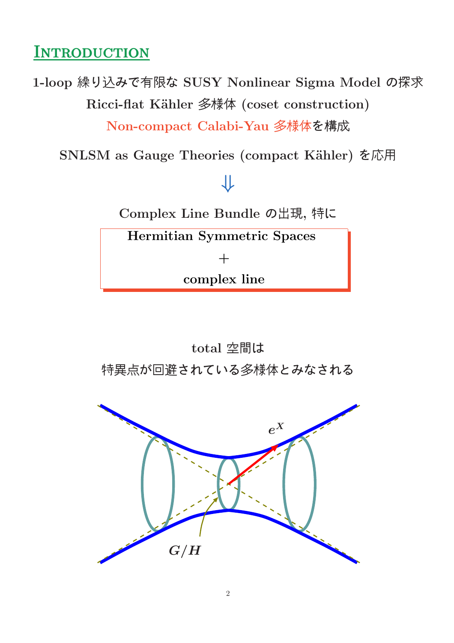#### **INTRODUCTION**

1-loop 繰り込みで有限な SUSY Nonlinear Sigma Model の探求 Ricci-flat Kähler 多様体 (coset construction)

Non-compact Calabi-Yau 多様体を構成

SNLSM as Gauge Theories (compact Kähler) を応用

# ⇓

Complex Line Bundle の出現, 特に

Hermitian Symmetric Spaces

 $+$ 

complex line

total 空間は 特異点が回避されている多様体とみなされる

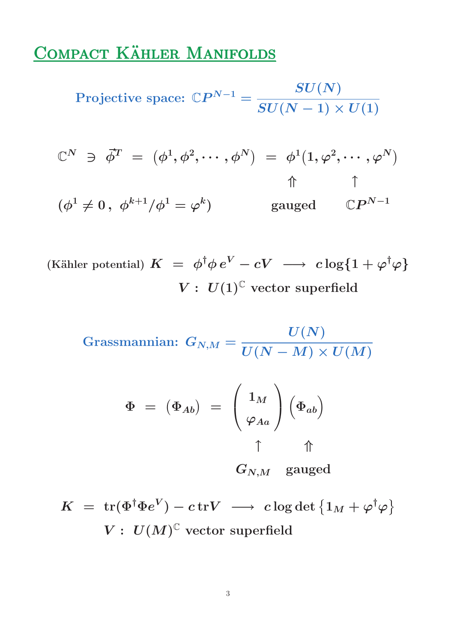## COMPACT KÄHLER MANIFOLDS

Projective space:  $\mathbb{C}P^{N-1} =$  $\boldsymbol{SU(N)}$  $SU(N-1)\times U(1)$ 

$$
\begin{array}{rcl}\n\mathbb{C}^N & \ni & \vec{\phi}^T \ = \ (\phi^1, \phi^2, \cdots, \phi^N) \ = \ \phi^1 \big( 1, \varphi^2, \cdots, \varphi^N \big) \\
\uparrow & \uparrow \\
(\phi^1 \neq 0 \,, \ \phi^{k+1} / \phi^1 = \varphi^k) \qquad \qquad \text{gauged} \qquad \mathbb{C} P^{N-1}\n\end{array}
$$

(Kähler potential)  $K = \phi^{\dagger} \phi e^V - cV \longrightarrow c \log\{1 + \varphi^{\dagger} \varphi\}$  $V: U(1)^{\mathbb{C}}$  vector superfield

$$
\text{Grassmannian: } G_{N,M} = \frac{U(N)}{U(N-M) \times U(M)}
$$

$$
\Phi = (\Phi_{Ab}) = \begin{pmatrix} 1_M \\ \varphi_{Aa} \end{pmatrix} (\Phi_{ab})
$$

 $G_{N,M}$  gauged

$$
K \;=\; \operatorname{tr}(\Phi^{\dagger} \Phi e^V) - c \operatorname{tr} V \;\longrightarrow\; c \log \det \left\{ 1_M + \varphi^{\dagger} \varphi \right\}
$$
  

$$
V: \; U(M)^{\mathbb{C}} \text{ vector superfield}
$$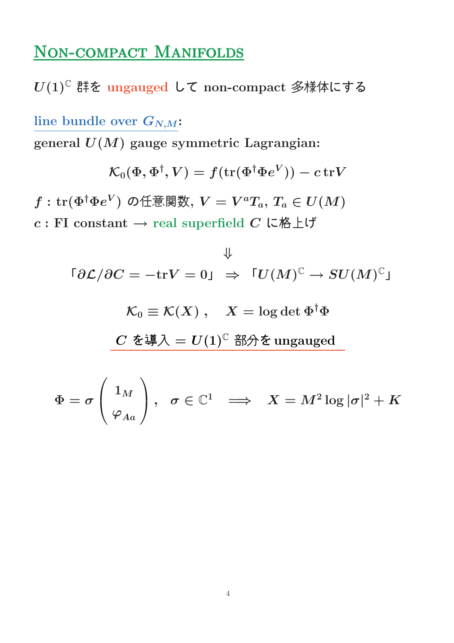#### NON-COMPACT MANIFOLDS

 $U(1)^{\mathbb{C}}$  群を ungauged して non-compact 多様体にする

line bundle over  $G_{N,M}$ :

general  $U(M)$  gauge symmetric Lagrangian:

$$
\mathcal{K}_0(\Phi,\Phi^\dagger,V)=f(\text{tr}(\Phi^\dagger\Phi e^V))-c\,\text{tr} V
$$

 $f:\text{tr}(\Phi^\dagger \Phi e^V)$  の任意関数,  $V=V^aT_a,$   $T_a\in U(M)$  $c$  : FI constant  $\rightarrow$  real superfield  $C$  に格上げ

$$
\Downarrow
$$
  
\n
$$
\lceil \partial \mathcal{L} / \partial C = -\text{tr} V = 0 \rceil \Rightarrow \lceil U(M)^{\mathbb{C}} \rightarrow SU(M)^{\mathbb{C}} \rceil
$$
  
\n
$$
\mathcal{K}_0 \equiv \mathcal{K}(X) , \quad X = \log \det \Phi^{\dagger} \Phi
$$
  
\n
$$
\frac{C \; \&\text{if} \lambda = U(1)^{\mathbb{C}} \; \text{if} \lambda \& \text{ungauged}}
$$

$$
\Phi=\sigma\left(\frac{1_M}{\varphi_{Aa}}\right),\hspace{2mm} \sigma\in\mathbb{C}^1\;\;\Longrightarrow\;\;X=M^2\log|\sigma|^2+K
$$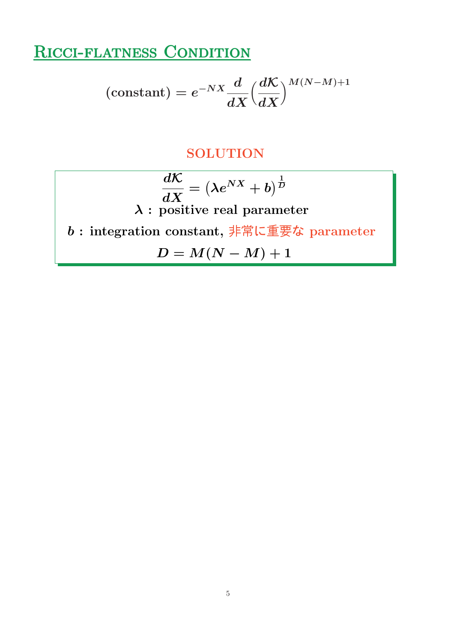# RICCI-FLATNESS CONDITION

$$
\left(\text{constant}\right)=e^{-NX}\frac{d}{dX}{\left(\frac{d\mathcal{K}}{dX}\right)^{M\left(N-M\right)+1}}
$$

#### **SOLUTION**

$$
\frac{d\mathcal{K}}{dX} = \left(\lambda e^{NX} + b\right)^{\frac{1}{D}}
$$
\n
$$
\lambda : \text{ positive real parameter}
$$
\n
$$
b : \text{integration constant}, \frac{1}{1 + \frac{1}{n} \ln \frac{1}{n}} \text{where } b : \text{in the equation}
$$
\n
$$
D = M(N - M) + 1
$$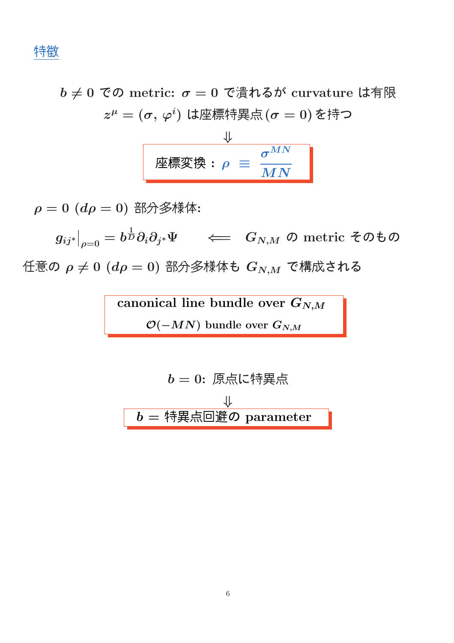特徴

 $b \neq 0$  での metric:  $\sigma = 0$  で潰れるが curvature は有限  $z^\mu = (\sigma,\,\varphi^i)$  は座標特異点 $(\sigma=0)$  を持つ

$$
\frac{\Downarrow}{\text{Phi} \times \text{Phi} : \rho \equiv \frac{\sigma^{MN}}{MN}}
$$

 $\rho = 0$   $(d\rho = 0)$  部分多様体:

 $g_{ij^*}\big|$  $\big\vert_{\rho=0}=b$ 1  ${}^{\bar{\text{\tiny{D}}}}\partial_i\partial_{j^*}\Psi \quad \impliedby \quad G_{N,M}$  の metric そのもの 任意の  $\rho \neq 0$   $(d\rho = 0)$  部分多様体も  $G_{N,M}$  で構成される

> canonical line bundle over  $G_{N,M}$  $\mathcal{O}(-MN)$  bundle over  $G_{N,M}$

$$
b = 0: 原点に特異点\n
$$
b = 4
$$
$$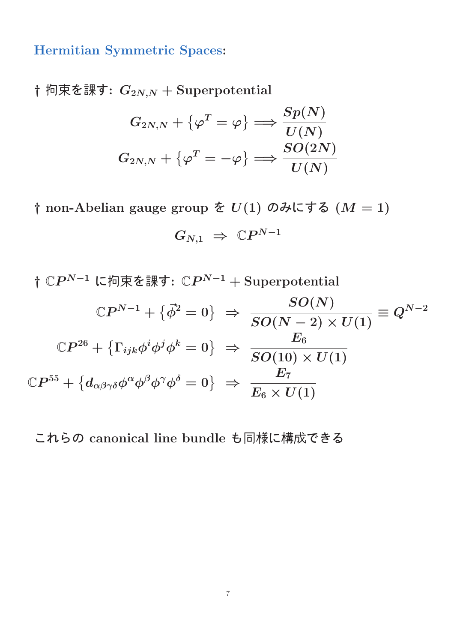Hermitian Symmetric Spaces:

† 拘束を課す:  $G_{2N,N}$  + Superpotential

$$
G_{2N,N} + \{ \varphi^T = \varphi \} \Longrightarrow \frac{Sp(N)}{U(N)}\\ G_{2N,N} + \{ \varphi^T = -\varphi \} \Longrightarrow \frac{SO(2N)}{U(N)}
$$

† non-Abelian gauge group を  $U(1)$  のみにする  $(M = 1)$ 

$$
G_{N,1}\;\Rightarrow\;{\Bbb C}P^{N-1}
$$

†  $\mathbb{C}P^{N-1}$  に拘束を課す:  $\mathbb{C}P^{N-1} + \text{Superpotential}$  $\mathbb{C}P^{N-1}+\{ \vec{\phi}^2=0\} \,\,\, \Rightarrow \,\,\,$  $SO(N)$  $SO(N-2)\times U(1)$  $\equiv Q^{N-2}$  $\mathbb{C}P^{26}+\left\{\Gamma_{ijk}\phi^{i}\phi^{j}\phi^{k}=0\right\}\ \Rightarrow$  $\boldsymbol{E_6}$  $SO(10)\times U(1)$  $\mathbb{C}P^{55}+\left\{d_{\alpha\beta\gamma\delta}\phi^{\alpha}\phi^{\beta}\phi^{\gamma}\phi^{\delta}=0\right\} \;\Rightarrow\;$  $\boldsymbol{E}_7$  $E_6 \times U(1)$ 

これらの canonical line bundle も同様に構成できる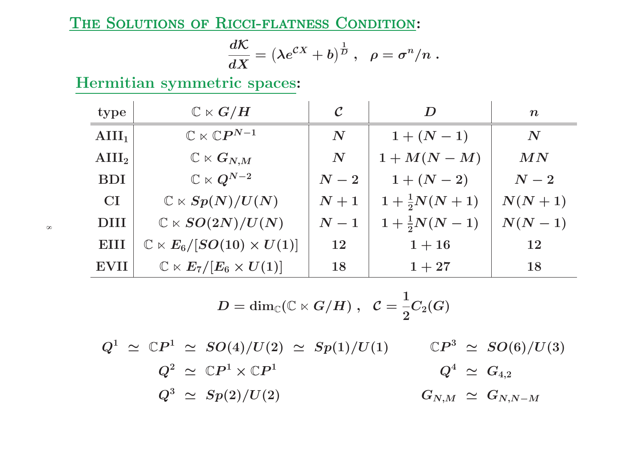THE SOLUTIONS OF RICCI-FLATNESS CONDITION:

$$
\frac{d{\cal K}}{dX}=\left(\lambda e^{{\cal C}X}+b\right)^{\frac{1}{D}}\,,\ \ \rho=\sigma^n/n\;.
$$

Hermitian symmetric spaces:

| type              | $\mathbb{C}\ltimes G/H$                       | $\mathcal C$       | D                       | $\boldsymbol{n}$   |
|-------------------|-----------------------------------------------|--------------------|-------------------------|--------------------|
| $\text{AIII}_1$   | $\mathbb{C}\ltimes \mathbb{C}P^{N-1}$         | $\boldsymbol{N}$   | $1 + (N - 1)$           | $\boldsymbol{N}$   |
| $\mathbf{AIII}_2$ | $\mathbb{C}\ltimes G_{N,M}$                   | $\boldsymbol{N}$   | $1+M(N-M)$              | MN                 |
| <b>BDI</b>        | $\mathbb{C}\ltimes Q^{N-2}$                   | $\boldsymbol{N-2}$ | $1 + (N - 2)$           | $\boldsymbol{N-2}$ |
| <b>CI</b>         | $\mathbb{C} \ltimes Sp(N)/U(N)$               | $N+1$              | $1+\frac{1}{2}N(N+1)$   | $N(N+1)$           |
| <b>DIII</b>       | $\mathbb{C} \ltimes SO(2N)/U(N)$              | $\boldsymbol{N-1}$ | $1 + \frac{1}{2}N(N-1)$ | $N(N-1)$           |
| EIII              | $\mathbb{C} \ltimes E_6/[SO(10) \times U(1)]$ | <b>12</b>          | $1 + 16$                | 12                 |
| <b>EVII</b>       | $\mathbb{C}\ltimes E_7/[E_6\times U(1)]$      | 18                 | $1 + 27$                | 18                 |

$$
D = \dim_\mathbb{C} (\mathbb{C} \ltimes G/H) \;,\;\; \mathcal{C} = \frac{1}{2} C_2(G)
$$

 $Q^1 \,\, \simeq \,\, \mathbb{C}P^1 \,\, \simeq \,\, SO(4)/U(2) \,\, \simeq \,\, Sp(1)/U(1)$  $Q^2 \,\, \simeq \,\, \mathbb{C}P^1 \times \mathbb{C}P^1$  $\mathbb{C}P^3 \ \simeq \ SO(6)/U(3)$  $Q^3 \,\,\simeq\,\, Sp(2)/U(2)$  $Q^4 \,\, \simeq \,\, G_{4,2}$  $G_{N,M}\;\simeq\;G_{N,N-M}$ 

 $\infty$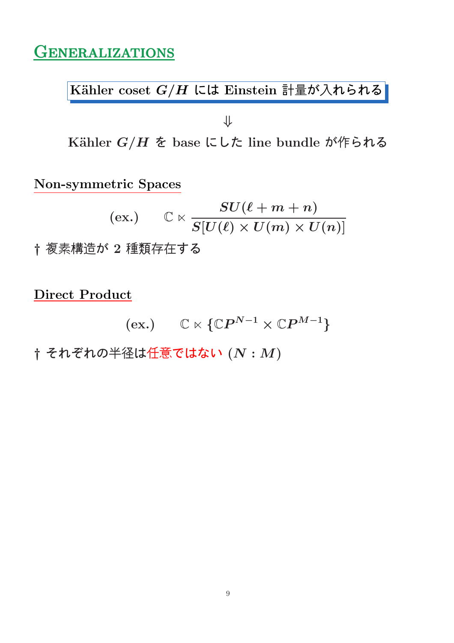## **GENERALIZATIONS**

 $\overline{\text{Kähler coset } G/H}$  には Einstein 計量が入れられる

⇓

Kähler  $G/H$  を base にした line bundle が作られる

Non-symmetric Spaces

$$
\hbox{(ex.)}\qquad \mathbb{C}\ltimes \frac{SU(\ell+m+n)}{S[U(\ell)\times U(m)\times U(n)]}
$$

† 複素構造が 2 種類存在する

Direct Product

$$
(\mathrm{ex.}) \qquad \mathbb{C} \ltimes \{\mathbb{C}P^{N-1} \times \mathbb{C}P^{M-1}\}
$$

 $\dagger$  それぞれの半径は任意ではない $(N: M)$